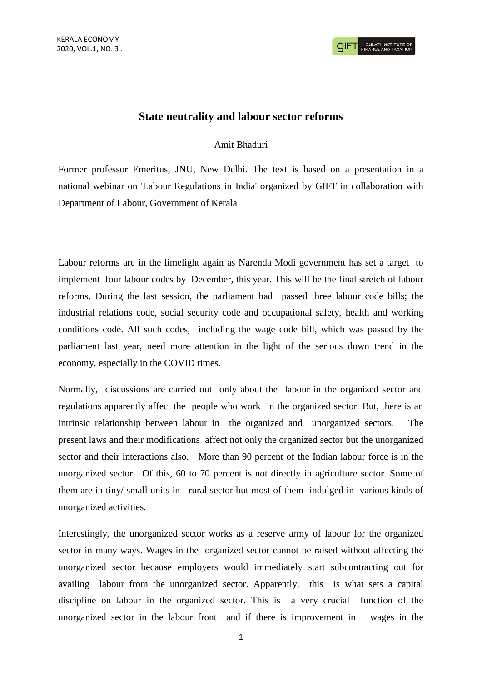## **State neutrality and labour sector reforms**

## Amit Bhaduri

Former professor Emeritus, JNU, New Delhi. The text is based on a presentation in a national webinar on 'Labour Regulations in India' organized by GIFT in collaboration with Department of Labour, Government of Kerala

Labour reforms are in the limelight again as Narenda Modi government has set a target to implement four labour codes by December, this year. This will be the final stretch of labour reforms. During the last session, the parliament had passed three labour code bills; the industrial relations code, social security code and occupational safety, health and working conditions code. All such codes, including the wage code bill, which was passed by the parliament last year, need more attention in the light of the serious down trend in the economy, especially in the COVID times.

Normally, discussions are carried out only about the labour in the organized sector and regulations apparently affect the people who work in the organized sector. But, there is an intrinsic relationship between labour in the organized and unorganized sectors. The present laws and their modifications affect not only the organized sector but the unorganized sector and their interactions also. More than 90 percent of the Indian labour force is in the unorganized sector. Of this, 60 to 70 percent is not directly in agriculture sector. Some of them are in tiny/ small units in rural sector but most of them indulged in various kinds of unorganized activities.

Interestingly, the unorganized sector works as a reserve army of labour for the organized sector in many ways. Wages in the organized sector cannot be raised without affecting the unorganized sector because employers would immediately start subcontracting out for availing labour from the unorganized sector. Apparently, this is what sets a capital discipline on labour in the organized sector. This is a very crucial function of the unorganized sector in the labour front and if there is improvement in wages in the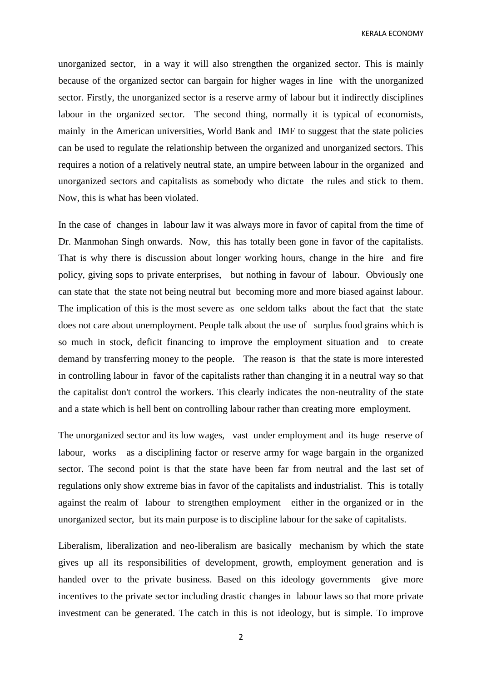KERALA ECONOMY

unorganized sector, in a way it will also strengthen the organized sector. This is mainly because of the organized sector can bargain for higher wages in line with the unorganized sector. Firstly, the unorganized sector is a reserve army of labour but it indirectly disciplines labour in the organized sector. The second thing, normally it is typical of economists, mainly in the American universities, World Bank and IMF to suggest that the state policies can be used to regulate the relationship between the organized and unorganized sectors. This requires a notion of a relatively neutral state, an umpire between labour in the organized and unorganized sectors and capitalists as somebody who dictate the rules and stick to them. Now, this is what has been violated.

In the case of changes in labour law it was always more in favor of capital from the time of Dr. Manmohan Singh onwards. Now, this has totally been gone in favor of the capitalists. That is why there is discussion about longer working hours, change in the hire and fire policy, giving sops to private enterprises, but nothing in favour of labour. Obviously one can state that the state not being neutral but becoming more and more biased against labour. The implication of this is the most severe as one seldom talks about the fact that the state does not care about unemployment. People talk about the use of surplus food grains which is so much in stock, deficit financing to improve the employment situation and to create demand by transferring money to the people. The reason is that the state is more interested in controlling labour in favor of the capitalists rather than changing it in a neutral way so that the capitalist don't control the workers. This clearly indicates the non-neutrality of the state and a state which is hell bent on controlling labour rather than creating more employment.

The unorganized sector and its low wages, vast under employment and its huge reserve of labour, works as a disciplining factor or reserve army for wage bargain in the organized sector. The second point is that the state have been far from neutral and the last set of regulations only show extreme bias in favor of the capitalists and industrialist. This is totally against the realm of labour to strengthen employment either in the organized or in the unorganized sector, but its main purpose is to discipline labour for the sake of capitalists.

Liberalism, liberalization and neo-liberalism are basically mechanism by which the state gives up all its responsibilities of development, growth, employment generation and is handed over to the private business. Based on this ideology governments give more incentives to the private sector including drastic changes in labour laws so that more private investment can be generated. The catch in this is not ideology, but is simple. To improve